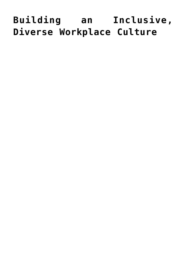# **[Building an Inclusive,](https://www.commpro.biz/building-an-inclusive-diverse-workplace-culture/) [Diverse Workplace Culture](https://www.commpro.biz/building-an-inclusive-diverse-workplace-culture/)**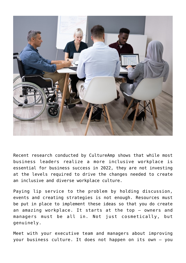

Recent research conducted by CultureAmp shows that while most business leaders realize a more inclusive workplace is essential for business success in 2022, they are not investing at the levels required to drive the changes needed to create an inclusive and diverse workplace culture.

Paying lip service to the problem by holding discussion, events and creating strategies is not enough. Resources must be put in place to implement these ideas so that you do create an amazing workplace. It starts at the top – owners and managers must be all in. Not just cosmetically, but genuinely.

Meet with your executive team and managers about improving your business culture. It does not happen on its own – you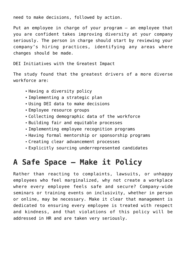need to make decisions, followed by action.

Put an employee in charge of your program – an employee that you are confident takes improving diversity at your company seriously. The person in charge should start by reviewing your company's hiring practices, identifying any areas where changes should be made.

DEI Initiatives with the Greatest Impact

The study found that the greatest drivers of a more diverse workforce are:

- Having a diversity policy
- Implementing a strategic plan
- Using DEI data to make decisions
- Employee resource groups
- Collecting demographic data of the workforce
- Building fair and equitable processes
- Implementing employee recognition programs
- Having formal mentorship or sponsorship programs
- Creating clear advancement processes
- Explicitly sourcing underrepresented candidates

### **A Safe Space – Make it Policy**

Rather than reacting to complaints, lawsuits, or unhappy employees who feel marginalized, why not create a [workplace](https://www.commpro.biz/company-culture/) where every employee feels safe and secure? Company-wide seminars or training events on inclusivity, whether in person or online, may be necessary. Make it clear that management is dedicated to ensuring every employee is treated with respect and kindness, and that violations of this policy will be addressed in HR and are taken very seriously.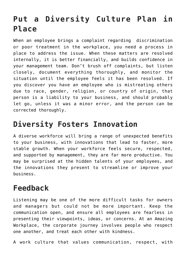## **Put a Diversity Culture Plan in Place**

When an employee brings a complaint regarding discrimination or poor treatment in the workplace, you need a process in place to address the issue. When these matters are resolved internally, it is better financially, and builds confidence in your management team. Don't brush off complaints, but listen closely, document everything thoroughly, and monitor the situation until the employee feels it has been resolved. If you discover you have an employee who is mistreating others due to race, gender, religion, or country of origin, that person is a liability to your business, and should probably let go, unless it was a minor error, and the person can be corrected thoroughly.

## **Diversity Fosters Innovation**

A diverse workforce will bring a range of unexpected benefits to your business, with innovations that lead to faster, more stable growth. When your workforce feels secure, respected, and supported by management, they are far more productive. You may be surprised at the hidden talents of your employees, and the innovations they present to streamline or improve your business.

### **Feedback**

Listening may be one of the more difficult tasks for owners and managers but could not be more important. Keep the communication open, and ensure all employees are fearless in presenting their viewpoints, ideas, or concerns. At an Amazing Workplace, the corporate journey involves people who respect one another, and treat each other with kindness.

A work culture that values communication, respect, with